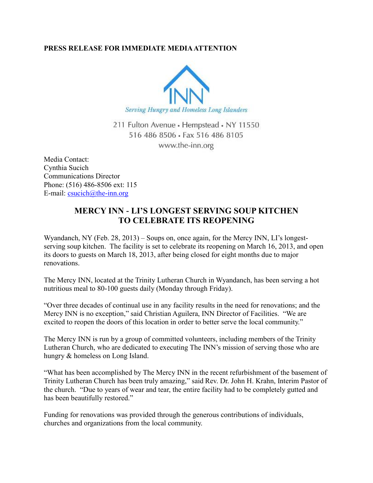## **PRESS RELEASE FOR IMMEDIATE MEDIA ATTENTION**



211 Fulton Avenue · Hempstead · NY 11550 516 486 8506 · Fax 516 486 8105 www.the-inn.org

Media Contact: Cynthia Sucich Communications Director Phone: (516) 486-8506 ext: 115 E-mail:  $\text{csuch}(a)$ the-inn.org

## **MERCY INN - LI'S LONGEST SERVING SOUP KITCHEN TO CELEBRATE ITS REOPENING**

Wyandanch, NY (Feb. 28, 2013) – Soups on, once again, for the Mercy INN, LI's longestserving soup kitchen. The facility is set to celebrate its reopening on March 16, 2013, and open its doors to guests on March 18, 2013, after being closed for eight months due to major renovations.

The Mercy INN, located at the Trinity Lutheran Church in Wyandanch, has been serving a hot nutritious meal to 80-100 guests daily (Monday through Friday).

"Over three decades of continual use in any facility results in the need for renovations; and the Mercy INN is no exception," said Christian Aguilera, INN Director of Facilities. "We are excited to reopen the doors of this location in order to better serve the local community."

The Mercy INN is run by a group of committed volunteers, including members of the Trinity Lutheran Church, who are dedicated to executing The INN's mission of serving those who are hungry & homeless on Long Island.

"What has been accomplished by The Mercy INN in the recent refurbishment of the basement of Trinity Lutheran Church has been truly amazing," said Rev. Dr. John H. Krahn, Interim Pastor of the church. "Due to years of wear and tear, the entire facility had to be completely gutted and has been beautifully restored."

Funding for renovations was provided through the generous contributions of individuals, churches and organizations from the local community.